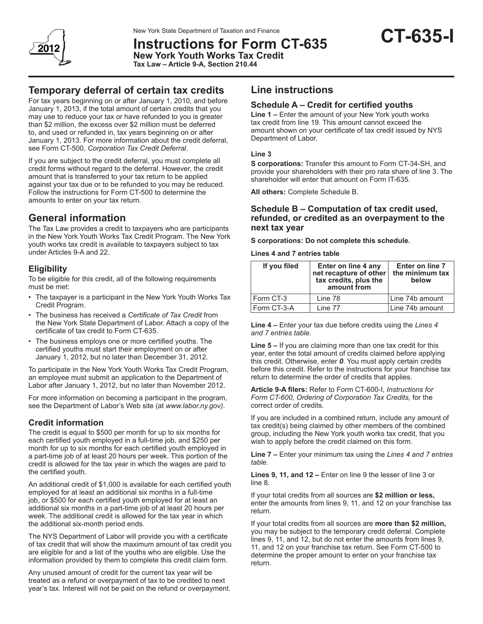

New York State Department of Taxation and Finance<br>Instructions for Form CT-635 **CT-635 New York Youth Works Tax Credit Tax Law – Article 9-A, Section 210.44**

For tax years beginning on or after January 1, 2010, and before January 1, 2013, if the total amount of certain credits that you may use to reduce your tax or have refunded to you is greater than \$2 million, the excess over \$2 million must be deferred to, and used or refunded in, tax years beginning on or after January 1, 2013. For more information about the credit deferral, see Form CT-500, *Corporation Tax Credit Deferral*.

If you are subject to the credit deferral, you must complete all credit forms without regard to the deferral. However, the credit amount that is transferred to your tax return to be applied against your tax due or to be refunded to you may be reduced. Follow the instructions for Form CT-500 to determine the amounts to enter on your tax return.

# **General information**

The Tax Law provides a credit to taxpayers who are participants in the New York Youth Works Tax Credit Program. The New York youth works tax credit is available to taxpayers subject to tax under Articles 9-A and 22.

# **Eligibility**

To be eligible for this credit, all of the following requirements must be met:

- The taxpayer is a participant in the New York Youth Works Tax Credit Program.
- The business has received a *Certificate of Tax Credit* from the New York State Department of Labor. Attach a copy of the certificate of tax credit to Form CT-635.
- The business employs one or more certified youths. The certified youths must start their employment on or after January 1, 2012, but no later than December 31, 2012.

To participate in the New York Youth Works Tax Credit Program, an employee must submit an application to the Department of Labor after January 1, 2012, but no later than November 2012.

For more information on becoming a participant in the program, see the Department of Labor's Web site (at *www.labor.ny.gov)*.

# **Credit information**

The credit is equal to \$500 per month for up to six months for each certified youth employed in a full-time job, and \$250 per month for up to six months for each certified youth employed in a part-time job of at least 20 hours per week. This portion of the credit is allowed for the tax year in which the wages are paid to the certified youth.

An additional credit of \$1,000 is available for each certified youth employed for at least an additional six months in a full-time job, or \$500 for each certified youth employed for at least an additional six months in a part-time job of at least 20 hours per week. The additional credit is allowed for the tax year in which the additional six-month period ends.

The NYS Department of Labor will provide you with a certificate of tax credit that will show the maximum amount of tax credit you are eligible for and a list of the youths who are eligible. Use the information provided by them to complete this credit claim form.

Any unused amount of credit for the current tax year will be treated as a refund or overpayment of tax to be credited to next year's tax. Interest will not be paid on the refund or overpayment.

# **Line instructions**

# **Schedule A – Credit for certified youths**

**Line 1 –** Enter the amount of your New York youth works tax credit from line 19. This amount cannot exceed the amount shown on your certificate of tax credit issued by NYS Department of Labor.

### **Line 3**

**S corporations:** Transfer this amount to Form CT-34-SH, and provide your shareholders with their pro rata share of line 3. The shareholder will enter that amount on Form IT-635.

**All others:** Complete Schedule B.

## **Schedule B – Computation of tax credit used, refunded, or credited as an overpayment to the next tax year**

**S corporations: Do not complete this schedule.**

**Lines 4 and 7 entries table**

| If you filed | Enter on line 4 any<br>net recapture of other<br>tax credits, plus the<br>amount from | Enter on line 7<br>the minimum tax<br>below |
|--------------|---------------------------------------------------------------------------------------|---------------------------------------------|
| Form CT-3    | Line 78                                                                               | l Line 74b amount                           |
| Form CT-3-A  | Line 77                                                                               | Line 74b amount                             |

**Line 4 –** Enter your tax due before credits using the *Lines 4 and 7 entries table.*

**Line 5 –** If you are claiming more than one tax credit for this year, enter the total amount of credits claimed before applying this credit. Otherwise, enter *0*. You must apply certain credits before this credit. Refer to the instructions for your franchise tax return to determine the order of credits that applies.

**Article 9-A filers:** Refer to Form CT-600-I, *Instructions for Form CT-600, Ordering of Corporation Tax Credits,* for the correct order of credits.

If you are included in a combined return, include any amount of tax credit(s) being claimed by other members of the combined group, including the New York youth works tax credit, that you wish to apply before the credit claimed on this form.

**Line 7 –** Enter your minimum tax using the *Lines 4 and 7 entries table.*

**Lines 9, 11, and 12 –** Enter on line 9 the lesser of line 3 or line 8.

If your total credits from all sources are **\$2 million or less,** enter the amounts from lines 9, 11, and 12 on your franchise tax return.

If your total credits from all sources are **more than \$2 million,** you may be subject to the temporary credit deferral. Complete lines 9, 11, and 12, but do not enter the amounts from lines 9, 11, and 12 on your franchise tax return. See Form CT-500 to determine the proper amount to enter on your franchise tax return.